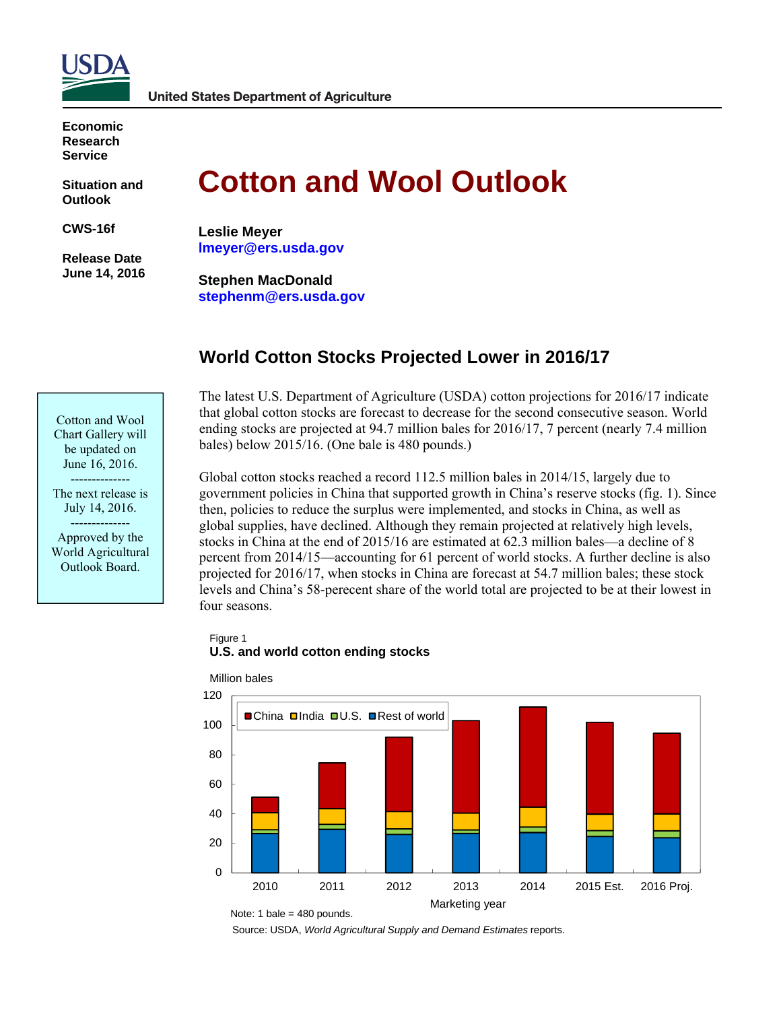

**Economic Research Service** 

**Situation and Outlook** 

**CWS-16f** 

 **Release Date June 14, 2016** 

# **Cotton and Wool Outlook**

**Leslie Meyer lmeyer@ers.usda.gov** 

**Stephen MacDonald stephenm@ers.usda.gov** 

# **World Cotton Stocks Projected Lower in 2016/17**

The latest U.S. Department of Agriculture (USDA) cotton projections for 2016/17 indicate that global cotton stocks are forecast to decrease for the second consecutive season. World ending stocks are projected at 94.7 million bales for 2016/17, 7 percent (nearly 7.4 million bales) below 2015/16. (One bale is 480 pounds.)

Global cotton stocks reached a record 112.5 million bales in 2014/15, largely due to government policies in China that supported growth in China's reserve stocks (fig. 1). Since then, policies to reduce the surplus were implemented, and stocks in China, as well as global supplies, have declined. Although they remain projected at relatively high levels, stocks in China at the end of 2015/16 are estimated at 62.3 million bales—a decline of 8 percent from 2014/15—accounting for 61 percent of world stocks. A further decline is also projected for 2016/17, when stocks in China are forecast at 54.7 million bales; these stock levels and China's 58-perecent share of the world total are projected to be at their lowest in four seasons.

## Figure 1 **U.S. and world cotton ending stocks**



Source: USDA, *World Agricultural Supply and Demand Estimates* reports.

Cotton and Wool Chart Gallery will be updated on June 16, 2016. --------------

The next release is July 14, 2016. --------------

Approved by the World Agricultural Outlook Board.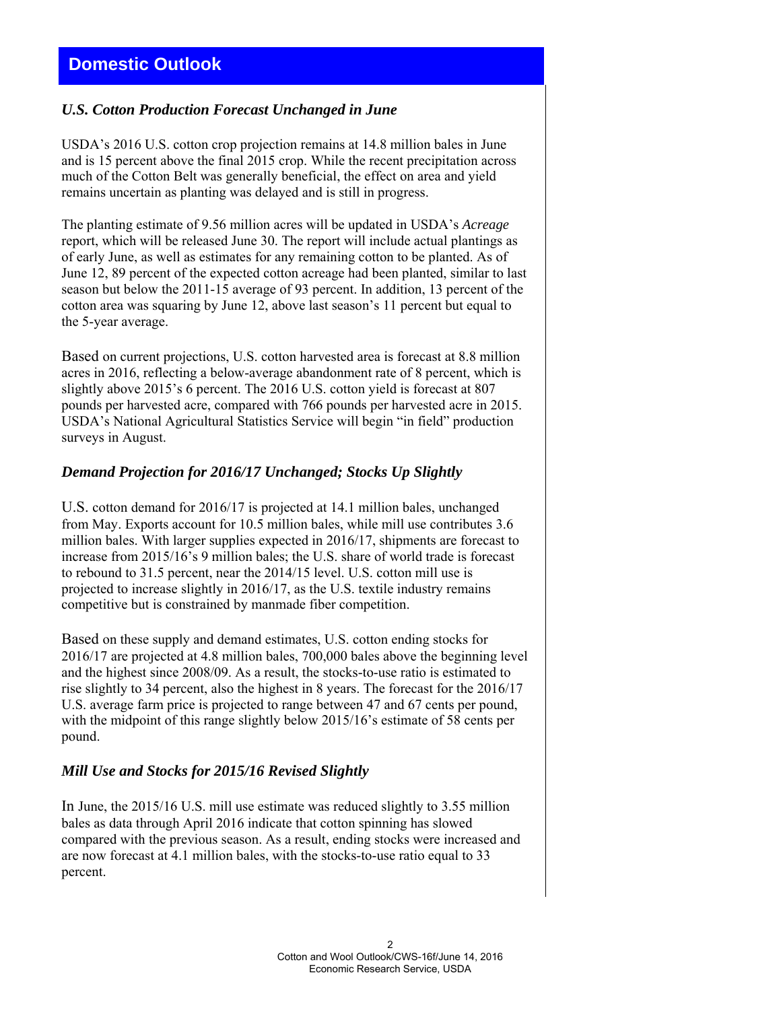# *U.S. Cotton Production Forecast Unchanged in June*

USDA's 2016 U.S. cotton crop projection remains at 14.8 million bales in June and is 15 percent above the final 2015 crop. While the recent precipitation across much of the Cotton Belt was generally beneficial, the effect on area and yield remains uncertain as planting was delayed and is still in progress.

The planting estimate of 9.56 million acres will be updated in USDA's *Acreage* report, which will be released June 30. The report will include actual plantings as of early June, as well as estimates for any remaining cotton to be planted. As of June 12, 89 percent of the expected cotton acreage had been planted, similar to last season but below the 2011-15 average of 93 percent. In addition, 13 percent of the cotton area was squaring by June 12, above last season's 11 percent but equal to the 5-year average.

Based on current projections, U.S. cotton harvested area is forecast at 8.8 million acres in 2016, reflecting a below-average abandonment rate of 8 percent, which is slightly above 2015's 6 percent. The 2016 U.S. cotton yield is forecast at 807 pounds per harvested acre, compared with 766 pounds per harvested acre in 2015. USDA's National Agricultural Statistics Service will begin "in field" production surveys in August.

# *Demand Projection for 2016/17 Unchanged; Stocks Up Slightly*

U.S. cotton demand for 2016/17 is projected at 14.1 million bales, unchanged from May. Exports account for 10.5 million bales, while mill use contributes 3.6 million bales. With larger supplies expected in 2016/17, shipments are forecast to increase from 2015/16's 9 million bales; the U.S. share of world trade is forecast to rebound to 31.5 percent, near the 2014/15 level. U.S. cotton mill use is projected to increase slightly in 2016/17, as the U.S. textile industry remains competitive but is constrained by manmade fiber competition.

Based on these supply and demand estimates, U.S. cotton ending stocks for 2016/17 are projected at 4.8 million bales, 700,000 bales above the beginning level and the highest since 2008/09. As a result, the stocks-to-use ratio is estimated to rise slightly to 34 percent, also the highest in 8 years. The forecast for the 2016/17 U.S. average farm price is projected to range between 47 and 67 cents per pound, with the midpoint of this range slightly below 2015/16's estimate of 58 cents per pound.

# *Mill Use and Stocks for 2015/16 Revised Slightly*

In June, the 2015/16 U.S. mill use estimate was reduced slightly to 3.55 million bales as data through April 2016 indicate that cotton spinning has slowed compared with the previous season. As a result, ending stocks were increased and are now forecast at 4.1 million bales, with the stocks-to-use ratio equal to 33 percent.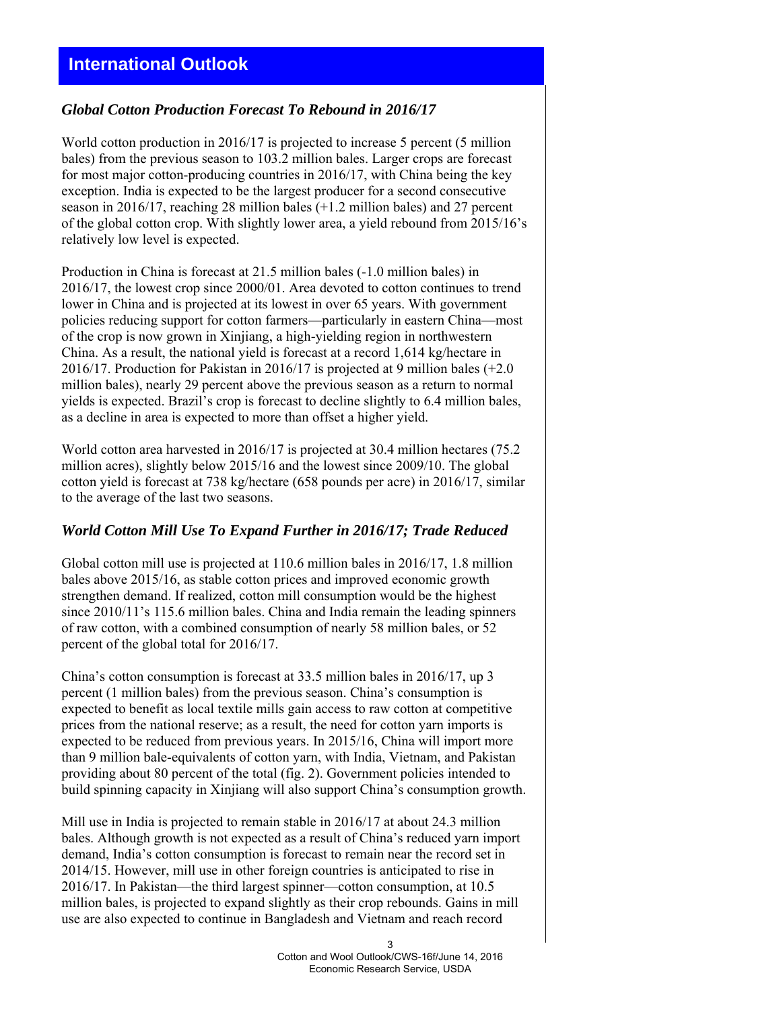# **International Outlook**

## *Global Cotton Production Forecast To Rebound in 2016/17*

World cotton production in 2016/17 is projected to increase 5 percent (5 million bales) from the previous season to 103.2 million bales. Larger crops are forecast for most major cotton-producing countries in 2016/17, with China being the key exception. India is expected to be the largest producer for a second consecutive season in 2016/17, reaching 28 million bales (+1.2 million bales) and 27 percent of the global cotton crop. With slightly lower area, a yield rebound from 2015/16's relatively low level is expected.

Production in China is forecast at 21.5 million bales (-1.0 million bales) in 2016/17, the lowest crop since 2000/01. Area devoted to cotton continues to trend lower in China and is projected at its lowest in over 65 years. With government policies reducing support for cotton farmers—particularly in eastern China—most of the crop is now grown in Xinjiang, a high-yielding region in northwestern China. As a result, the national yield is forecast at a record 1,614 kg/hectare in 2016/17. Production for Pakistan in 2016/17 is projected at 9 million bales (+2.0 million bales), nearly 29 percent above the previous season as a return to normal yields is expected. Brazil's crop is forecast to decline slightly to 6.4 million bales, as a decline in area is expected to more than offset a higher yield.

World cotton area harvested in 2016/17 is projected at 30.4 million hectares (75.2 million acres), slightly below 2015/16 and the lowest since 2009/10. The global cotton yield is forecast at 738 kg/hectare (658 pounds per acre) in 2016/17, similar to the average of the last two seasons.

## *World Cotton Mill Use To Expand Further in 2016/17; Trade Reduced*

Global cotton mill use is projected at 110.6 million bales in 2016/17, 1.8 million bales above 2015/16, as stable cotton prices and improved economic growth strengthen demand. If realized, cotton mill consumption would be the highest since 2010/11's 115.6 million bales. China and India remain the leading spinners of raw cotton, with a combined consumption of nearly 58 million bales, or 52 percent of the global total for 2016/17.

China's cotton consumption is forecast at 33.5 million bales in 2016/17, up 3 percent (1 million bales) from the previous season. China's consumption is expected to benefit as local textile mills gain access to raw cotton at competitive prices from the national reserve; as a result, the need for cotton yarn imports is expected to be reduced from previous years. In 2015/16, China will import more than 9 million bale-equivalents of cotton yarn, with India, Vietnam, and Pakistan providing about 80 percent of the total (fig. 2). Government policies intended to build spinning capacity in Xinjiang will also support China's consumption growth.

Mill use in India is projected to remain stable in 2016/17 at about 24.3 million bales. Although growth is not expected as a result of China's reduced yarn import demand, India's cotton consumption is forecast to remain near the record set in 2014/15. However, mill use in other foreign countries is anticipated to rise in 2016/17. In Pakistan—the third largest spinner—cotton consumption, at 10.5 million bales, is projected to expand slightly as their crop rebounds. Gains in mill use are also expected to continue in Bangladesh and Vietnam and reach record

> 3 Cotton and Wool Outlook/CWS-16f/June 14, 2016 Economic Research Service, USDA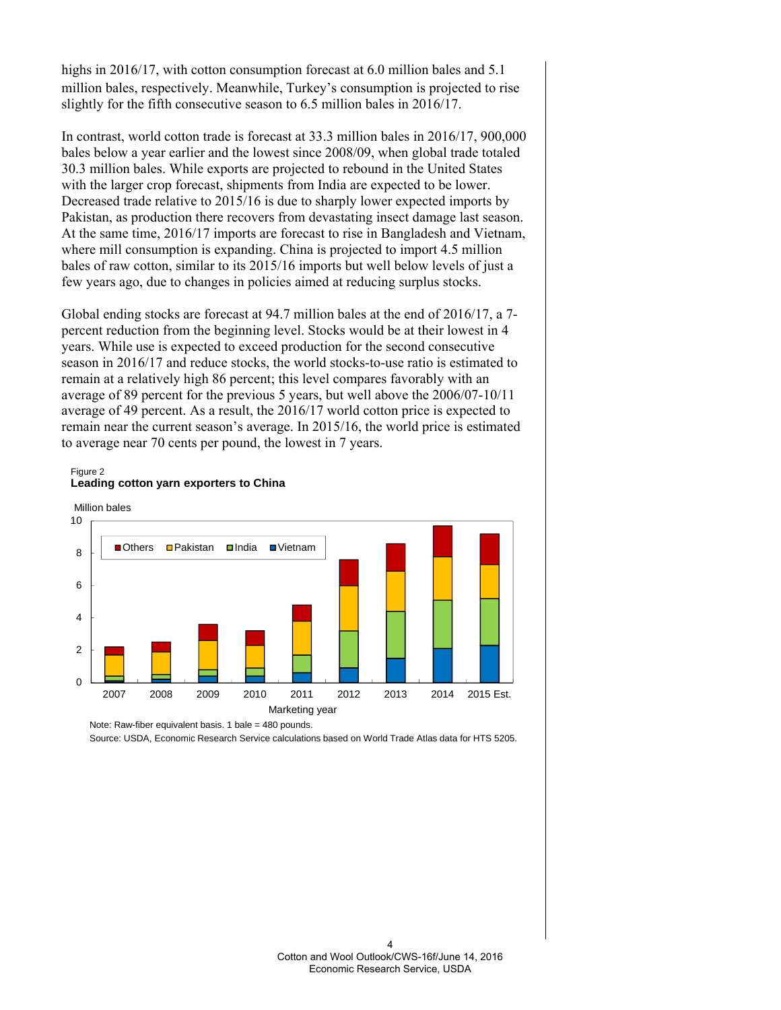highs in 2016/17, with cotton consumption forecast at 6.0 million bales and 5.1 million bales, respectively. Meanwhile, Turkey's consumption is projected to rise slightly for the fifth consecutive season to 6.5 million bales in 2016/17.

In contrast, world cotton trade is forecast at 33.3 million bales in 2016/17, 900,000 bales below a year earlier and the lowest since 2008/09, when global trade totaled 30.3 million bales. While exports are projected to rebound in the United States with the larger crop forecast, shipments from India are expected to be lower. Decreased trade relative to 2015/16 is due to sharply lower expected imports by Pakistan, as production there recovers from devastating insect damage last season. At the same time, 2016/17 imports are forecast to rise in Bangladesh and Vietnam, where mill consumption is expanding. China is projected to import 4.5 million bales of raw cotton, similar to its 2015/16 imports but well below levels of just a few years ago, due to changes in policies aimed at reducing surplus stocks.

Global ending stocks are forecast at 94.7 million bales at the end of 2016/17, a 7 percent reduction from the beginning level. Stocks would be at their lowest in 4 years. While use is expected to exceed production for the second consecutive season in 2016/17 and reduce stocks, the world stocks-to-use ratio is estimated to remain at a relatively high 86 percent; this level compares favorably with an average of 89 percent for the previous 5 years, but well above the 2006/07-10/11 average of 49 percent. As a result, the 2016/17 world cotton price is expected to remain near the current season's average. In 2015/16, the world price is estimated to average near 70 cents per pound, the lowest in 7 years.

#### Figure 2 **Leading cotton yarn exporters to China**



Note: Raw-fiber equivalent basis. 1 bale = 480 pounds.

Source: USDA, Economic Research Service calculations based on World Trade Atlas data for HTS 5205.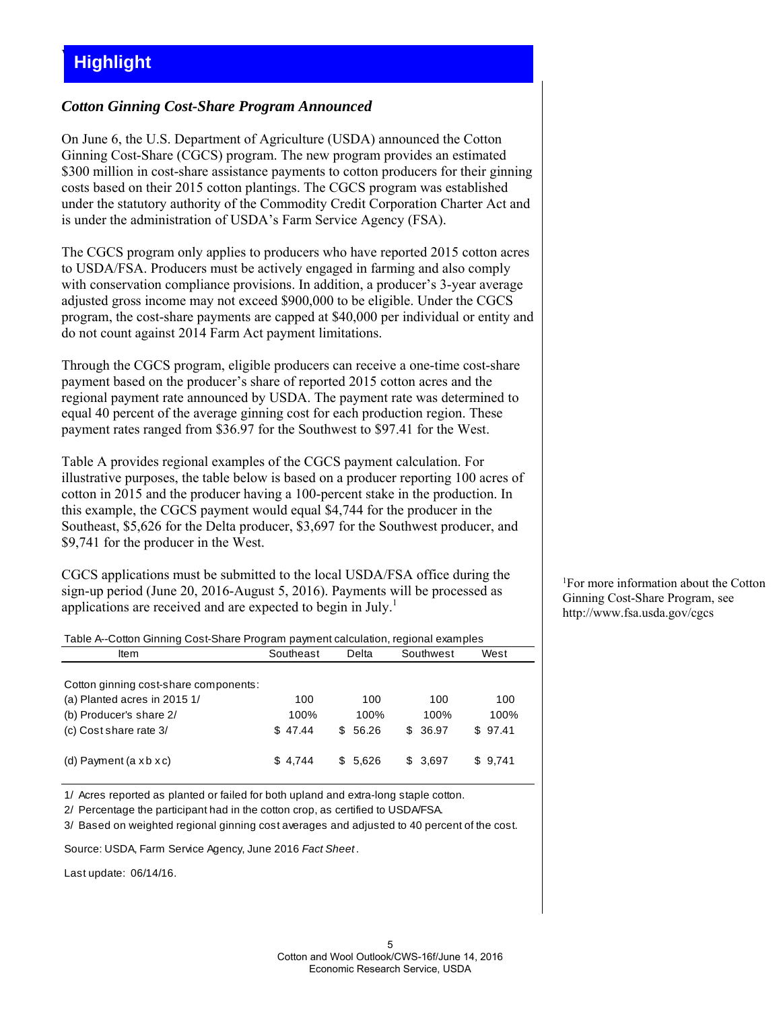# *Cotton Ginning Cost-Share Program Announced*

On June 6, the U.S. Department of Agriculture (USDA) announced the Cotton Ginning Cost-Share (CGCS) program. The new program provides an estimated \$300 million in cost-share assistance payments to cotton producers for their ginning costs based on their 2015 cotton plantings. The CGCS program was established under the statutory authority of the Commodity Credit Corporation Charter Act and is under the administration of USDA's Farm Service Agency (FSA).

The CGCS program only applies to producers who have reported 2015 cotton acres to USDA/FSA. Producers must be actively engaged in farming and also comply with conservation compliance provisions. In addition, a producer's 3-year average adjusted gross income may not exceed \$900,000 to be eligible. Under the CGCS program, the cost-share payments are capped at \$40,000 per individual or entity and do not count against 2014 Farm Act payment limitations.

Through the CGCS program, eligible producers can receive a one-time cost-share payment based on the producer's share of reported 2015 cotton acres and the regional payment rate announced by USDA. The payment rate was determined to equal 40 percent of the average ginning cost for each production region. These payment rates ranged from \$36.97 for the Southwest to \$97.41 for the West.

Table A provides regional examples of the CGCS payment calculation. For illustrative purposes, the table below is based on a producer reporting 100 acres of cotton in 2015 and the producer having a 100-percent stake in the production. In this example, the CGCS payment would equal \$4,744 for the producer in the Southeast, \$5,626 for the Delta producer, \$3,697 for the Southwest producer, and \$9,741 for the producer in the West.

CGCS applications must be submitted to the local USDA/FSA office during the sign-up period (June 20, 2016-August 5, 2016). Payments will be processed as applications are received and are expected to begin in July.<sup>1</sup>

| Table A--Cotton Ginning Cost-Share Program payment calculation, regional examples |           |       |           |      |
|-----------------------------------------------------------------------------------|-----------|-------|-----------|------|
| ltem                                                                              | Southeast | Delta | Southwest | West |
|                                                                                   |           |       |           |      |

| Cotton ginning cost-share components: |         |         |          |         |
|---------------------------------------|---------|---------|----------|---------|
| (a) Planted acres in 2015 1/          | 100     | 100     | 100      | 100     |
| (b) Producer's share 2/               | 100%    | 100%    | 100%     | 100%    |
| (c) Cost share rate 3/                | \$47.44 | \$56.26 | \$ 36.97 | \$97.41 |
| (d) Payment $(a \times b \times c)$   | \$4.744 | \$5.626 | \$ 3.697 | \$9.741 |

1/ Acres reported as planted or failed for both upland and extra-long staple cotton.

2/ Percentage the participant had in the cotton crop, as certified to USDA/FSA.

3/ Based on weighted regional ginning cost averages and adjusted to 40 percent of the cost.

Source: USDA, Farm Service Agency, June 2016 *Fact Sheet* .

Last update: 06/14/16.

1 For more information about the Cotton Ginning Cost-Share Program, see http://www.fsa.usda.gov/cgcs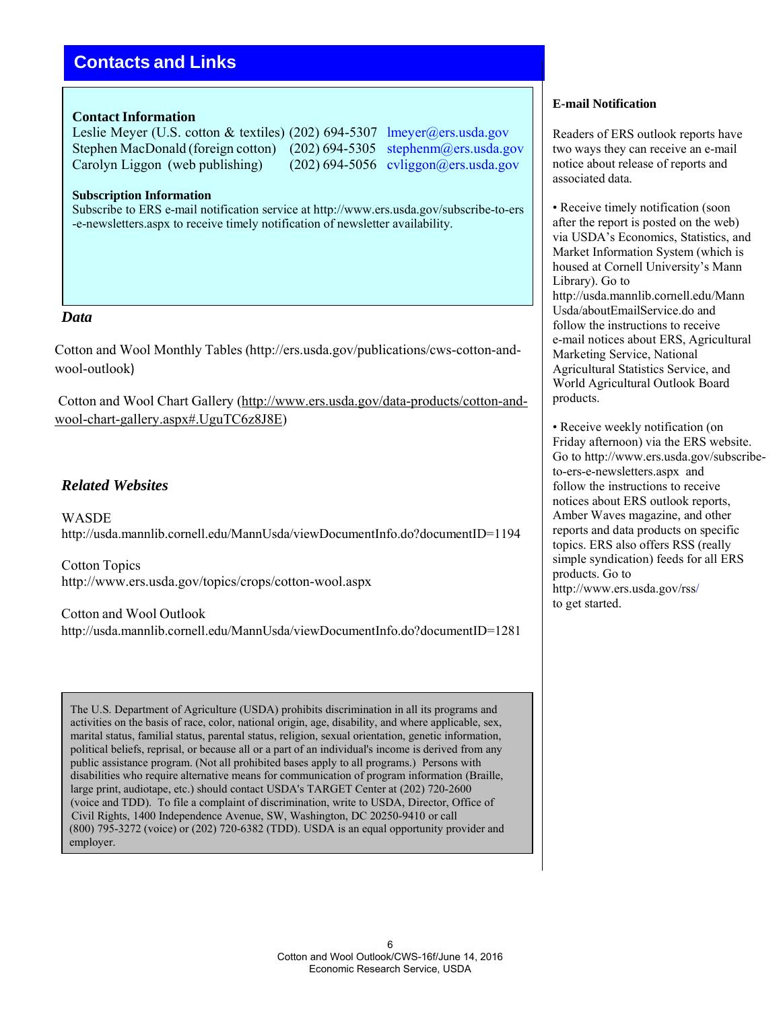# **Contacts and Links**

## **Contact Information**

Leslie Meyer (U.S. cotton & textiles) (202) 694-5307 lmeyer@ers.usda.gov Stephen MacDonald (foreign cotton) (202) 694-5305 stephenm@ers.usda.gov Carolyn Liggon (web publishing) (202) 694-5056 cvliggon@ers.usda.gov

#### **Subscription Information**

Subscribe to ERS e-mail notification service at http://www.ers.usda.gov/subscribe-to-ers -e-newsletters.aspx to receive timely notification of newsletter availability.

#### *Data*

Cotton and Wool Monthly Tables (http://ers.usda.gov/publications/cws-cotton-andwool-outlook)

Cotton and Wool Chart Gallery (http://www.ers.usda.gov/data-products/cotton-andwool-chart-gallery.aspx#.UguTC6z8J8E)

# *Related Websites*

**WASDE** http://usda.mannlib.cornell.edu/MannUsda/viewDocumentInfo.do?documentID=1194

Cotton Topics http://www.ers.usda.gov/topics/crops/cotton-wool.aspx

Cotton and Wool Outlook http://usda.mannlib.cornell.edu/MannUsda/viewDocumentInfo.do?documentID=1281

The U.S. Department of Agriculture (USDA) prohibits discrimination in all its programs and activities on the basis of race, color, national origin, age, disability, and where applicable, sex, marital status, familial status, parental status, religion, sexual orientation, genetic information, political beliefs, reprisal, or because all or a part of an individual's income is derived from any public assistance program. (Not all prohibited bases apply to all programs.) Persons with disabilities who require alternative means for communication of program information (Braille, large print, audiotape, etc.) should contact USDA's TARGET Center at (202) 720-2600 (voice and TDD). To file a complaint of discrimination, write to USDA, Director, Office of Civil Rights, 1400 Independence Avenue, SW, Washington, DC 20250-9410 or call (800) 795-3272 (voice) or (202) 720-6382 (TDD). USDA is an equal opportunity provider and employer.

#### **E-mail Notification**

Readers of ERS outlook reports have two ways they can receive an e-mail notice about release of reports and associated data.

• Receive timely notification (soon) after the report is posted on the web) via USDA's Economics, Statistics, and Market Information System (which is housed at Cornell University's Mann Library). Go to http://usda.mannlib.cornell.edu/Mann Usda/aboutEmailService.do and follow the instructions to receive e-mail notices about ERS, Agricultural Marketing Service, National Agricultural Statistics Service, and World Agricultural Outlook Board products.

• Receive weekly notification (on Friday afternoon) via the ERS website. Go to http://www.ers.usda.gov/subscribeto-ers-e-newsletters.aspx and follow the instructions to receive notices about ERS outlook reports, Amber Waves magazine, and other reports and data products on specific topics. ERS also offers RSS (really simple syndication) feeds for all ERS products. Go to http://www.ers.usda.gov/rss/ to get started.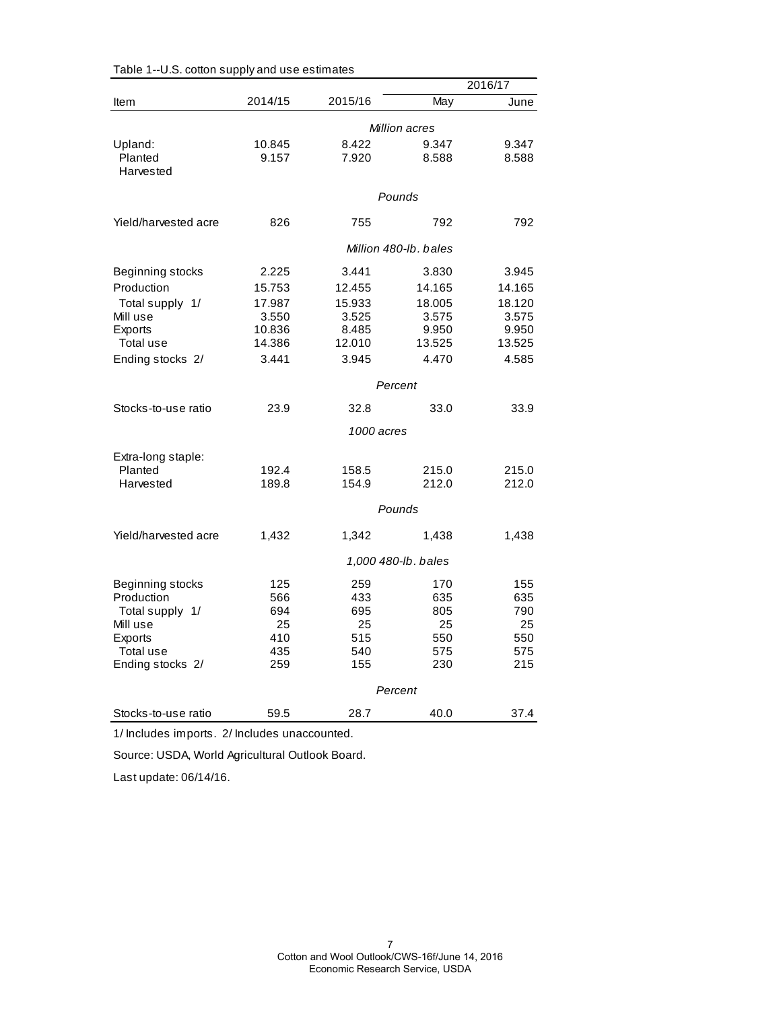|                                 |                 |                |                       | 2016/17        |
|---------------------------------|-----------------|----------------|-----------------------|----------------|
| Item                            | 2014/15         | 2015/16        | May                   | June           |
|                                 |                 |                | Million acres         |                |
| Upland:<br>Planted<br>Harvested | 10.845<br>9.157 | 8.422<br>7.920 | 9.347<br>8.588        | 9.347<br>8.588 |
|                                 |                 |                | Pounds                |                |
| Yield/harvested acre            | 826             | 755            | 792                   | 792            |
|                                 |                 |                | Million 480-lb, bales |                |
| Beginning stocks                | 2.225           | 3.441          | 3.830                 | 3.945          |
| Production                      | 15.753          | 12.455         | 14.165                | 14.165         |
| Total supply 1/                 | 17.987          | 15.933         | 18.005                | 18.120         |
| Mill use                        | 3.550           | 3.525          | 3.575                 | 3.575          |
| Exports                         | 10.836          | 8.485          | 9.950                 | 9.950          |
| Total use                       | 14.386          | 12.010         | 13.525                | 13.525         |
| Ending stocks 2/                | 3.441           | 3.945          | 4.470                 | 4.585          |
|                                 |                 |                | Percent               |                |
| Stocks-to-use ratio             | 23.9            | 32.8           | 33.0                  | 33.9           |
|                                 |                 | 1000 acres     |                       |                |
| Extra-long staple:              |                 |                |                       |                |
| Planted                         | 192.4           | 158.5          | 215.0                 | 215.0          |
| Harvested                       | 189.8           | 154.9          | 212.0                 | 212.0          |
|                                 |                 |                | Pounds                |                |
| Yield/harvested acre            | 1,432           | 1,342          | 1,438                 | 1,438          |
|                                 |                 |                | 1,000 480-lb. bales   |                |
| Beginning stocks                | 125             | 259            | 170                   | 155            |
| Production                      | 566             | 433            | 635                   | 635            |
| Total supply 1/                 | 694             | 695            | 805                   | 790            |
| Mill use                        | 25              | 25             | 25                    | 25             |
| Exports                         | 410             | 515            | 550                   | 550            |
| Total use                       | 435             | 540            | 575                   | 575<br>215     |
| Ending stocks 2/                | 259             | 155            | 230                   |                |
|                                 |                 |                | Percent               |                |
| Stocks-to-use ratio             | 59.5            | 28.7           | 40.0                  | 37.4           |

| Table 1--U.S. cotton supply and use estimates |  |  |  |  |  |
|-----------------------------------------------|--|--|--|--|--|
|-----------------------------------------------|--|--|--|--|--|

1/ Includes imports. 2/ Includes unaccounted.

Source: USDA, World Agricultural Outlook Board.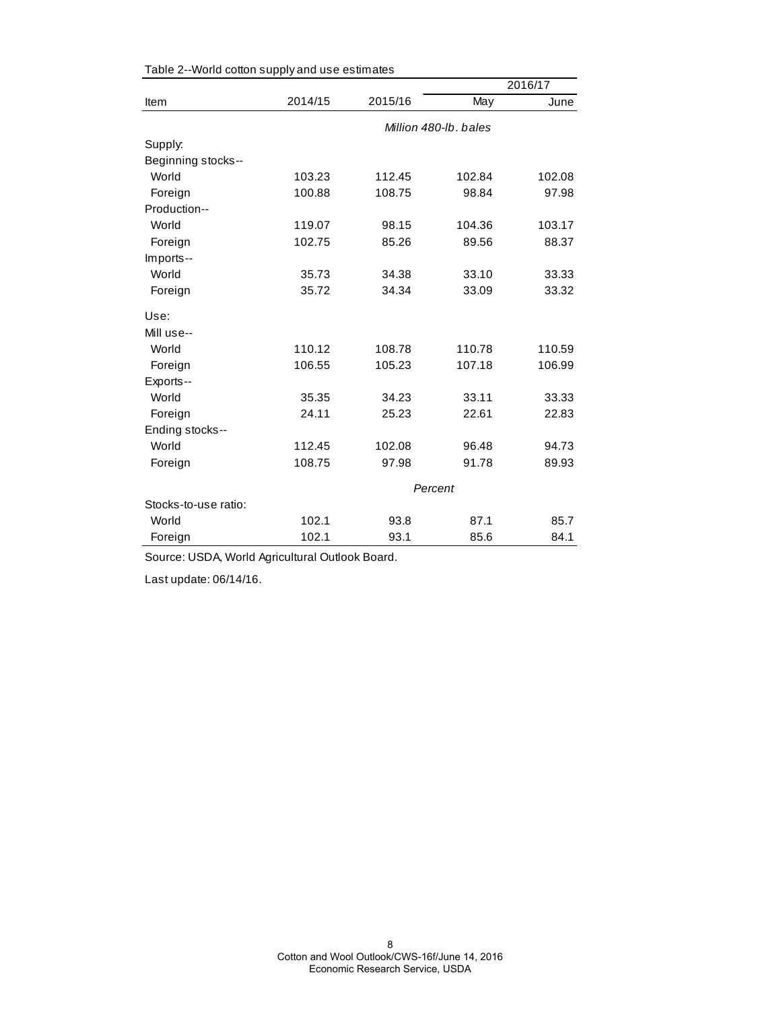|                      |         |         |                       | 2016/17 |
|----------------------|---------|---------|-----------------------|---------|
| Item                 | 2014/15 | 2015/16 | May                   | June    |
|                      |         |         | Million 480-lb, bales |         |
| Supply:              |         |         |                       |         |
| Beginning stocks--   |         |         |                       |         |
| World                | 103.23  | 112.45  | 102.84                | 102.08  |
| Foreign              | 100.88  | 108.75  | 98.84                 | 97.98   |
| Production--         |         |         |                       |         |
| World                | 119.07  | 98.15   | 104.36                | 103.17  |
| Foreign              | 102.75  | 85.26   | 89.56                 | 88.37   |
| Imports--            |         |         |                       |         |
| World                | 35.73   | 34.38   | 33.10                 | 33.33   |
| Foreign              | 35.72   | 34.34   | 33.09                 | 33.32   |
| Use:                 |         |         |                       |         |
| Mill use--           |         |         |                       |         |
| World                | 110.12  | 108.78  | 110.78                | 110.59  |
| Foreign              | 106.55  | 105.23  | 107.18                | 106.99  |
| Exports--            |         |         |                       |         |
| World                | 35.35   | 34.23   | 33.11                 | 33.33   |
| Foreign              | 24.11   | 25.23   | 22.61                 | 22.83   |
| Ending stocks--      |         |         |                       |         |
| World                | 112.45  | 102.08  | 96.48                 | 94.73   |
| Foreign              | 108.75  | 97.98   | 91.78                 | 89.93   |
|                      |         |         | Percent               |         |
| Stocks-to-use ratio: |         |         |                       |         |
| World                | 102.1   | 93.8    | 87.1                  | 85.7    |
| Foreign              | 102.1   | 93.1    | 85.6                  | 84.1    |

Table 2--World cotton supply and use estimates

Source: USDA, World Agricultural Outlook Board.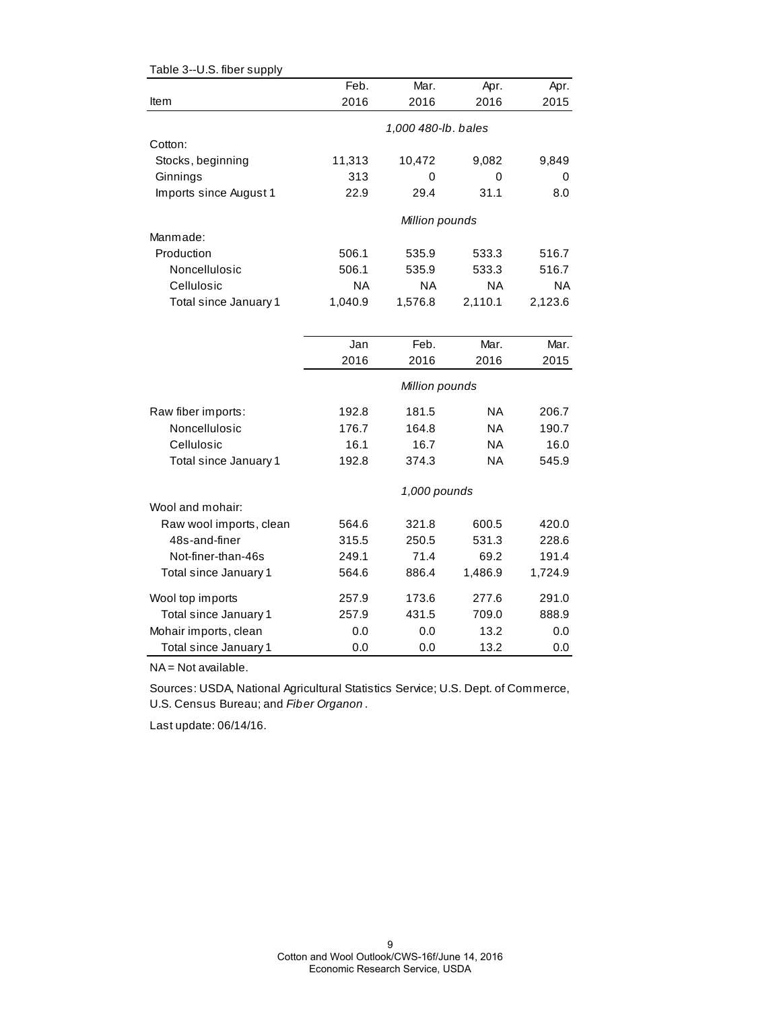| Table 3--U.S. fiber supply |                |                     |           |           |  |
|----------------------------|----------------|---------------------|-----------|-----------|--|
|                            | Feb.           | Mar.                | Apr.      | Apr.      |  |
| Item                       | 2016           | 2016                | 2016      | 2015      |  |
|                            |                | 1,000 480-lb. bales |           |           |  |
| Cotton:                    |                |                     |           |           |  |
| Stocks, beginning          | 11,313         | 10,472              | 9,082     | 9,849     |  |
| Ginnings                   | 313            | 0                   | 0         | 0         |  |
| Imports since August 1     | 22.9           | 29.4                | 31.1      | 8.0       |  |
|                            | Million pounds |                     |           |           |  |
| Manmade:                   |                |                     |           |           |  |
| Production                 | 506.1          | 535.9               | 533.3     | 516.7     |  |
| Noncellulosic              | 506.1          | 535.9               | 533.3     | 516.7     |  |
| Cellulosic                 | ΝA             | ΝA                  | ΝA        | <b>NA</b> |  |
| Total since January 1      | 1,040.9        | 1,576.8             | 2,110.1   | 2,123.6   |  |
|                            |                |                     |           |           |  |
|                            | Jan            | Feb.                | Mar.      | Mar.      |  |
|                            | 2016           | 2016                | 2016      | 2015      |  |
|                            |                | Million pounds      |           |           |  |
| Raw fiber imports:         | 192.8          | 181.5               | ΝA        | 206.7     |  |
| Noncellulosic              | 176.7          | 164.8               | <b>NA</b> | 190.7     |  |
| Cellulosic                 | 16.1           | 16.7                | <b>NA</b> | 16.0      |  |
| Total since January 1      | 192.8          | 374.3               | ΝA        | 545.9     |  |
|                            |                | 1,000 pounds        |           |           |  |
| Wool and mohair:           |                |                     |           |           |  |
| Raw wool imports, clean    | 564.6          | 321.8               | 600.5     | 420.0     |  |
| 48s-and-finer              | 315.5          | 250.5               | 531.3     | 228.6     |  |
| Not-finer-than-46s         | 249.1          | 71.4                | 69.2      | 191.4     |  |
| Total since January 1      | 564.6          | 886.4               | 1,486.9   | 1,724.9   |  |
| Wool top imports           | 257.9          | 173.6               | 277.6     | 291.0     |  |
| Total since January 1      | 257.9          | 431.5               | 709.0     | 888.9     |  |
| Mohair imports, clean      | 0.0            | 0.0                 | 13.2      | 0.0       |  |
| Total since January 1      | 0.0            | 0.0                 | 13.2      | 0.0       |  |

NA = Not available.

Sources: USDA, National Agricultural Statistics Service; U.S. Dept. of Commerce, U.S. Census Bureau; and *Fiber Organon* .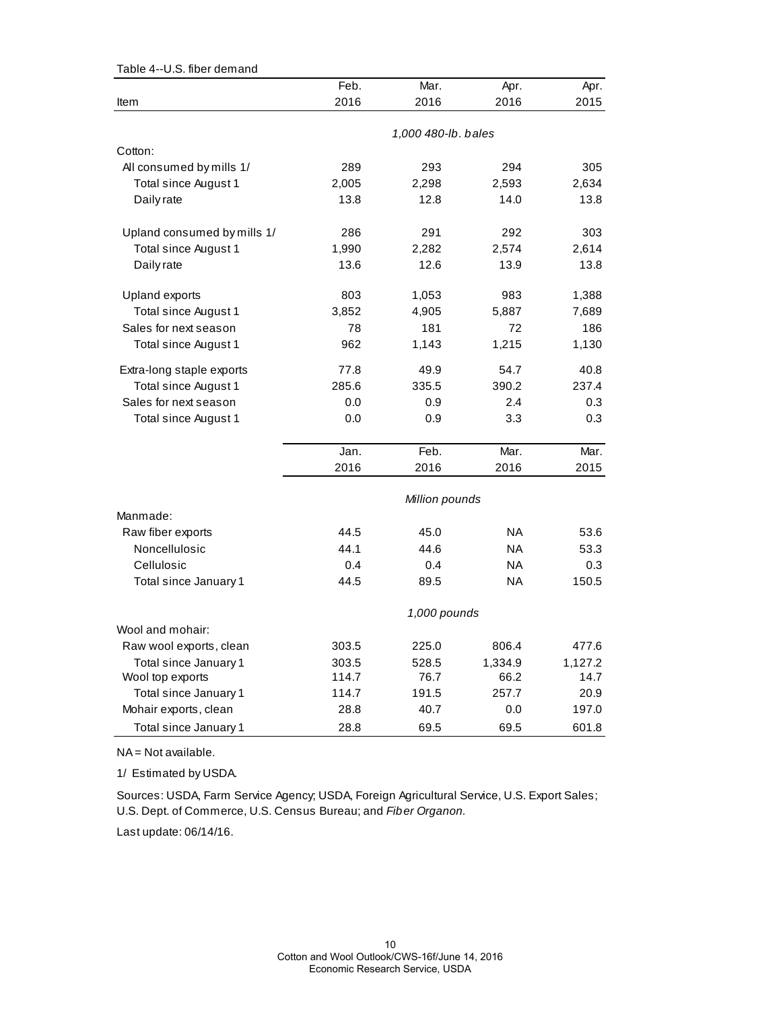| Table 4--U.S. fiber demand  |       |                     |           |         |
|-----------------------------|-------|---------------------|-----------|---------|
|                             | Feb.  | Mar.                | Apr.      | Apr.    |
| ltem                        | 2016  | 2016                | 2016      | 2015    |
|                             |       |                     |           |         |
|                             |       | 1,000 480-lb. bales |           |         |
| Cotton:                     |       |                     |           |         |
| All consumed by mills 1/    | 289   | 293                 | 294       | 305     |
| Total since August 1        | 2,005 | 2,298               | 2,593     | 2,634   |
| Daily rate                  | 13.8  | 12.8                | 14.0      | 13.8    |
| Upland consumed by mills 1/ | 286   | 291                 | 292       | 303     |
| Total since August 1        | 1,990 | 2,282               | 2,574     | 2,614   |
| Daily rate                  | 13.6  | 12.6                | 13.9      | 13.8    |
| Upland exports              | 803   | 1,053               | 983       | 1,388   |
| Total since August 1        | 3,852 | 4,905               | 5,887     | 7,689   |
| Sales for next season       | 78    | 181                 | 72        | 186     |
| Total since August 1        | 962   | 1,143               | 1,215     | 1,130   |
| Extra-long staple exports   | 77.8  | 49.9                | 54.7      | 40.8    |
| Total since August 1        | 285.6 | 335.5               | 390.2     | 237.4   |
| Sales for next season       | 0.0   | 0.9                 | 2.4       | 0.3     |
| Total since August 1        | 0.0   | 0.9                 | 3.3       | 0.3     |
|                             | Jan.  | Feb.                | Mar.      | Mar.    |
|                             | 2016  | 2016                | 2016      | 2015    |
|                             |       | Million pounds      |           |         |
| Manmade:                    |       |                     |           |         |
| Raw fiber exports           | 44.5  | 45.0                | <b>NA</b> | 53.6    |
| Noncellulosic               | 44.1  | 44.6                | <b>NA</b> | 53.3    |
| Cellulosic                  | 0.4   | 0.4                 | <b>NA</b> | 0.3     |
| Total since January 1       | 44.5  | 89.5                | <b>NA</b> | 150.5   |
|                             |       | 1,000 pounds        |           |         |
| Wool and mohair:            |       |                     |           |         |
| Raw wool exports, clean     | 303.5 | 225.0               | 806.4     | 477.6   |
| Total since January 1       | 303.5 | 528.5               | 1,334.9   | 1,127.2 |
| Wool top exports            | 114.7 | 76.7                | 66.2      | 14.7    |
| Total since January 1       | 114.7 | 191.5               | 257.7     | 20.9    |
| Mohair exports, clean       | 28.8  | 40.7                | 0.0       | 197.0   |
| Total since January 1       | 28.8  | 69.5                | 69.5      | 601.8   |

NA = Not available.

1/ Estimated by USDA.

Sources: USDA, Farm Service Agency; USDA, Foreign Agricultural Service, U.S. Export Sales; U.S. Dept. of Commerce, U.S. Census Bureau; and *Fiber Organon.*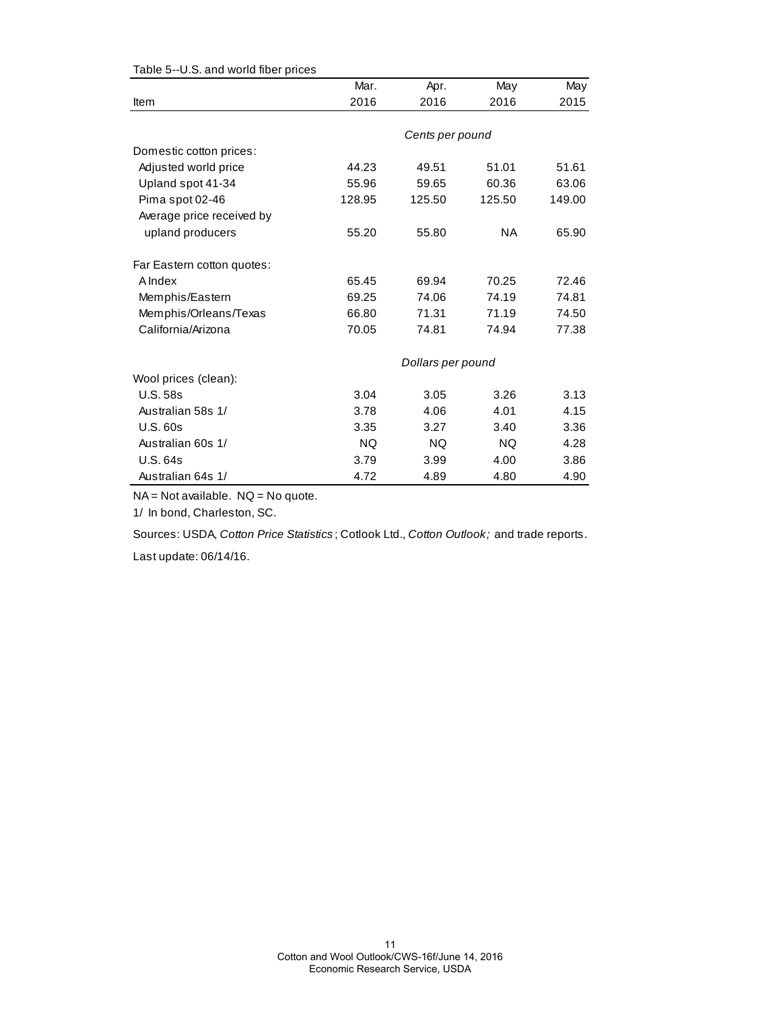|                            | Mar.      | Apr.              | May       | May    |
|----------------------------|-----------|-------------------|-----------|--------|
| Item                       | 2016      | 2016              | 2016      | 2015   |
|                            |           |                   |           |        |
|                            |           | Cents per pound   |           |        |
| Domestic cotton prices:    |           |                   |           |        |
| Adjusted world price       | 44.23     | 49.51             | 51.01     | 51.61  |
| Upland spot 41-34          | 55.96     | 59.65             | 60.36     | 63.06  |
| Pima spot 02-46            | 128.95    | 125.50            | 125.50    | 149.00 |
| Average price received by  |           |                   |           |        |
| upland producers           | 55.20     | 55.80             | <b>NA</b> | 65.90  |
| Far Eastern cotton quotes: |           |                   |           |        |
| A Index                    | 65.45     | 69.94             | 70.25     | 72.46  |
| Memphis/Eastern            | 69.25     | 74.06             | 74.19     | 74.81  |
| Memphis/Orleans/Texas      | 66.80     | 71.31             | 71.19     | 74.50  |
| California/Arizona         | 70.05     | 74.81             | 74.94     | 77.38  |
|                            |           | Dollars per pound |           |        |
| Wool prices (clean):       |           |                   |           |        |
| <b>U.S. 58s</b>            | 3.04      | 3.05              | 3.26      | 3.13   |
| Australian 58s 1/          | 3.78      | 4.06              | 4.01      | 4.15   |
| <b>U.S. 60s</b>            | 3.35      | 3.27              | 3.40      | 3.36   |
| Australian 60s 1/          | <b>NQ</b> | <b>NQ</b>         | <b>NQ</b> | 4.28   |
| <b>U.S. 64s</b>            | 3.79      | 3.99              | 4.00      | 3.86   |
| Australian 64s 1/          | 4.72      | 4.89              | 4.80      | 4.90   |

Table 5--U.S. and world fiber prices

NA = Not available. NQ = No quote.

1/ In bond, Charleston, SC.

Sources: USDA, *Cotton Price Statistics* ; Cotlook Ltd., *Cotton Outlook;* and trade reports.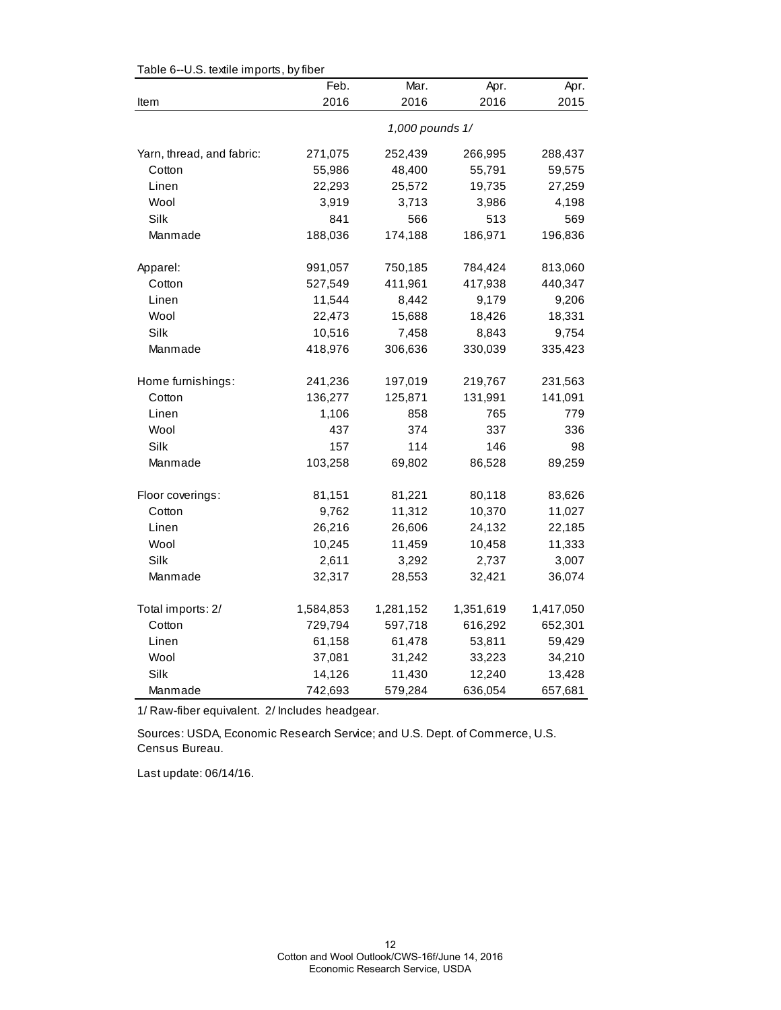| rable o--o.o. lexule imports, by liber | Feb.            | Mar.      | Apr.      | Apr.      |  |  |
|----------------------------------------|-----------------|-----------|-----------|-----------|--|--|
| Item                                   | 2016            | 2016      | 2016      | 2015      |  |  |
|                                        | 1,000 pounds 1/ |           |           |           |  |  |
| Yarn, thread, and fabric:              | 271,075         | 252,439   | 266,995   | 288,437   |  |  |
| Cotton                                 | 55,986          | 48,400    | 55,791    | 59,575    |  |  |
| Linen                                  | 22,293          | 25,572    | 19,735    | 27,259    |  |  |
| Wool                                   | 3,919           | 3,713     | 3,986     | 4,198     |  |  |
| Silk                                   | 841             | 566       | 513       | 569       |  |  |
| Manmade                                | 188,036         | 174,188   | 186,971   | 196,836   |  |  |
| Apparel:                               | 991,057         | 750,185   | 784,424   | 813,060   |  |  |
| Cotton                                 | 527,549         | 411,961   | 417,938   | 440,347   |  |  |
| Linen                                  | 11,544          | 8,442     | 9,179     | 9,206     |  |  |
| Wool                                   | 22,473          | 15,688    | 18,426    | 18,331    |  |  |
| Silk                                   | 10,516          | 7,458     | 8,843     | 9,754     |  |  |
| Manmade                                | 418,976         | 306,636   | 330,039   | 335,423   |  |  |
| Home furnishings:                      | 241,236         | 197,019   | 219,767   | 231,563   |  |  |
| Cotton                                 | 136,277         | 125,871   | 131,991   | 141,091   |  |  |
| Linen                                  | 1,106           | 858       | 765       | 779       |  |  |
| Wool                                   | 437             | 374       | 337       | 336       |  |  |
| Silk                                   | 157             | 114       | 146       | 98        |  |  |
| Manmade                                | 103,258         | 69,802    | 86,528    | 89,259    |  |  |
| Floor coverings:                       | 81,151          | 81,221    | 80,118    | 83,626    |  |  |
| Cotton                                 | 9,762           | 11,312    | 10,370    | 11,027    |  |  |
| Linen                                  | 26,216          | 26,606    | 24,132    | 22,185    |  |  |
| Wool                                   | 10,245          | 11,459    | 10,458    | 11,333    |  |  |
| Silk                                   | 2,611           | 3,292     | 2,737     | 3,007     |  |  |
| Manmade                                | 32,317          | 28,553    | 32,421    | 36,074    |  |  |
| Total imports: 2/                      | 1,584,853       | 1,281,152 | 1,351,619 | 1,417,050 |  |  |
| Cotton                                 | 729,794         | 597,718   | 616,292   | 652,301   |  |  |
| Linen                                  | 61,158          | 61,478    | 53,811    | 59,429    |  |  |
| Wool                                   | 37,081          | 31,242    | 33,223    | 34,210    |  |  |
| Silk                                   | 14,126          | 11,430    | 12,240    | 13,428    |  |  |
| Manmade                                | 742,693         | 579,284   | 636,054   | 657,681   |  |  |

Table 6--U.S. textile imports, by fiber

1/ Raw-fiber equivalent. 2/ Includes headgear.

Sources: USDA, Economic Research Service; and U.S. Dept. of Commerce, U.S. Census Bureau.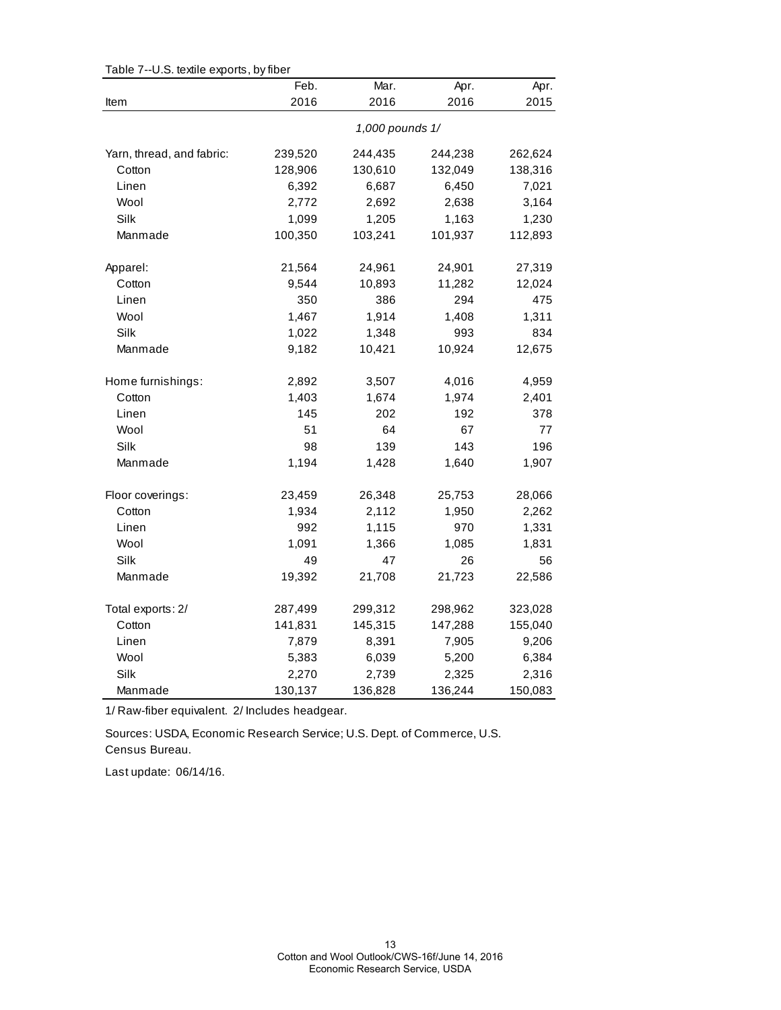|                           | Feb.    | Mar.            | Apr.    | Apr.    |
|---------------------------|---------|-----------------|---------|---------|
| Item                      | 2016    | 2016            | 2016    | 2015    |
|                           |         | 1,000 pounds 1/ |         |         |
| Yarn, thread, and fabric: | 239,520 | 244,435         | 244,238 | 262,624 |
| Cotton                    | 128,906 | 130,610         | 132,049 | 138,316 |
| Linen                     | 6,392   | 6,687           | 6,450   | 7,021   |
| Wool                      | 2,772   | 2,692           | 2,638   | 3,164   |
| Silk                      | 1,099   | 1,205           | 1,163   | 1,230   |
| Manmade                   | 100,350 | 103,241         | 101,937 | 112,893 |
| Apparel:                  | 21,564  | 24,961          | 24,901  | 27,319  |
| Cotton                    | 9,544   | 10,893          | 11,282  | 12,024  |
| Linen                     | 350     | 386             | 294     | 475     |
| Wool                      | 1,467   | 1,914           | 1,408   | 1,311   |
| Silk                      | 1,022   | 1,348           | 993     | 834     |
| Manmade                   | 9,182   | 10,421          | 10,924  | 12,675  |
| Home furnishings:         | 2,892   | 3,507           | 4,016   | 4,959   |
| Cotton                    | 1,403   | 1,674           | 1,974   | 2,401   |
| Linen                     | 145     | 202             | 192     | 378     |
| Wool                      | 51      | 64              | 67      | 77      |
| Silk                      | 98      | 139             | 143     | 196     |
| Manmade                   | 1,194   | 1,428           | 1,640   | 1,907   |
| Floor coverings:          | 23,459  | 26,348          | 25,753  | 28,066  |
| Cotton                    | 1,934   | 2,112           | 1,950   | 2,262   |
| Linen                     | 992     | 1,115           | 970     | 1,331   |
| Wool                      | 1,091   | 1,366           | 1,085   | 1,831   |
| Silk                      | 49      | 47              | 26      | 56      |
| Manmade                   | 19,392  | 21,708          | 21,723  | 22,586  |
| Total exports: 2/         | 287,499 | 299,312         | 298,962 | 323,028 |
| Cotton                    | 141,831 | 145,315         | 147,288 | 155,040 |
| Linen                     | 7,879   | 8,391           | 7,905   | 9,206   |
| Wool                      | 5,383   | 6,039           | 5,200   | 6,384   |
| Silk                      | 2,270   | 2,739           | 2,325   | 2,316   |
| Manmade                   | 130,137 | 136,828         | 136,244 | 150,083 |

Table 7--U.S. textile exports, by fiber

1/ Raw-fiber equivalent. 2/ Includes headgear.

Census Bureau. Sources: USDA, Economic Research Service; U.S. Dept. of Commerce, U.S.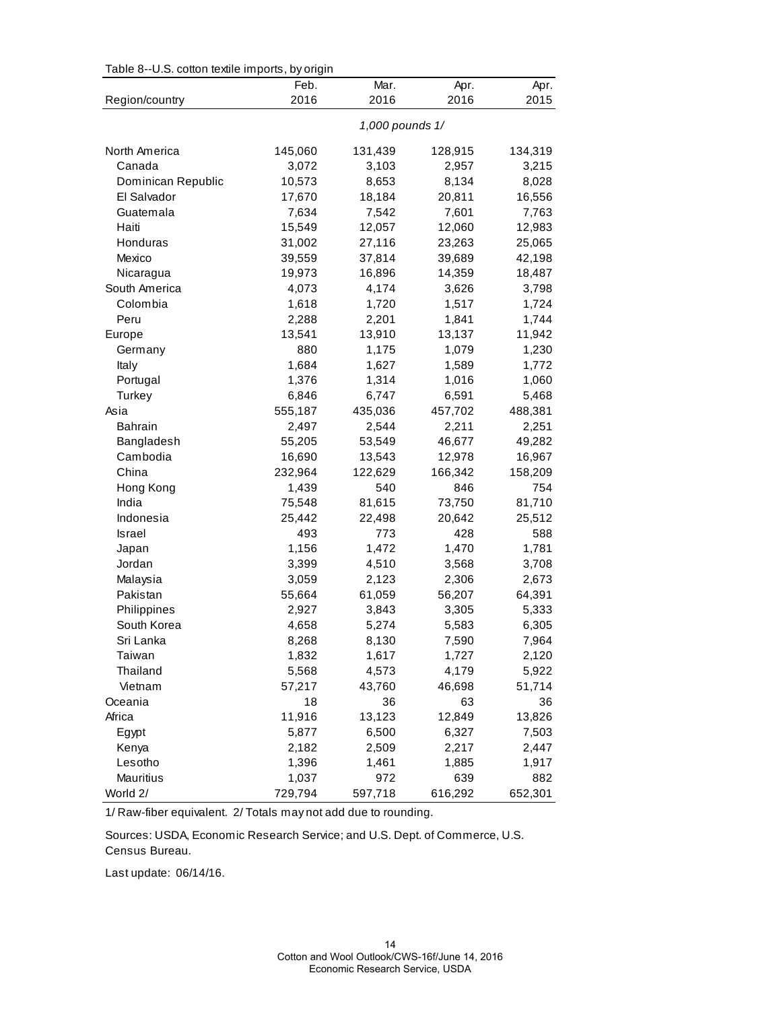| Table 8--U.S. cotton textile imports, by origin |  |  |  |
|-------------------------------------------------|--|--|--|
|                                                 |  |  |  |

|                    | ່. ອ<br>Feb.<br>2016 | Mar.<br>2016    | Apr.<br>2016 | Apr.<br>2015 |
|--------------------|----------------------|-----------------|--------------|--------------|
| Region/country     |                      |                 |              |              |
|                    |                      | 1,000 pounds 1/ |              |              |
| North America      | 145,060              | 131,439         | 128,915      | 134,319      |
| Canada             | 3,072                | 3,103           | 2,957        | 3,215        |
| Dominican Republic | 10,573               | 8,653           | 8,134        | 8,028        |
| El Salvador        | 17,670               | 18,184          | 20,811       | 16,556       |
| Guatemala          | 7,634                | 7,542           | 7,601        | 7,763        |
| Haiti              | 15,549               | 12,057          | 12,060       | 12,983       |
| Honduras           | 31,002               | 27,116          | 23,263       | 25,065       |
| Mexico             | 39,559               | 37,814          | 39,689       | 42,198       |
| Nicaragua          | 19,973               | 16,896          | 14,359       | 18,487       |
| South America      | 4,073                | 4,174           | 3,626        | 3,798        |
| Colombia           | 1,618                | 1,720           | 1,517        | 1,724        |
| Peru               | 2,288                | 2,201           | 1,841        | 1,744        |
| Europe             | 13,541               | 13,910          | 13,137       | 11,942       |
| Germany            | 880                  | 1,175           | 1,079        | 1,230        |
| Italy              | 1,684                | 1,627           | 1,589        | 1,772        |
| Portugal           | 1,376                | 1,314           | 1,016        | 1,060        |
| Turkey             | 6,846                | 6,747           | 6,591        | 5,468        |
| Asia               | 555,187              | 435,036         | 457,702      | 488,381      |
| <b>Bahrain</b>     | 2,497                | 2,544           | 2,211        | 2,251        |
| Bangladesh         | 55,205               | 53,549          | 46,677       | 49,282       |
| Cambodia           | 16,690               | 13,543          | 12,978       | 16,967       |
| China              | 232,964              | 122,629         | 166,342      | 158,209      |
| Hong Kong          | 1,439                | 540             | 846          | 754          |
| India              | 75,548               | 81,615          | 73,750       | 81,710       |
| Indonesia          | 25,442               | 22,498          | 20,642       | 25,512       |
| <b>Israel</b>      | 493                  | 773             | 428          | 588          |
| Japan              | 1,156                | 1,472           | 1,470        | 1,781        |
| Jordan             | 3,399                | 4,510           | 3,568        | 3,708        |
| Malaysia           | 3,059                | 2,123           | 2,306        | 2,673        |
| Pakistan           | 55,664               | 61,059          | 56,207       | 64,391       |
| Philippines        | 2,927                | 3,843           | 3,305        | 5,333        |
| South Korea        | 4,658                | 5,274           | 5,583        | 6,305        |
| Sri Lanka          | 8,268                | 8,130           | 7,590        | 7,964        |
| Taiwan             | 1,832                | 1,617           | 1,727        | 2,120        |
| Thailand           | 5,568                | 4,573           | 4,179        | 5,922        |
| Vietnam            | 57,217               | 43,760          | 46,698       | 51,714       |
| Oceania            | 18                   | 36              | 63           | 36           |
| Africa             | 11,916               | 13,123          | 12,849       | 13,826       |
| Egypt              | 5,877                | 6,500           | 6,327        | 7,503        |
| Kenya              | 2,182                | 2,509           | 2,217        | 2,447        |
| Lesotho            | 1,396                | 1,461           | 1,885        | 1,917        |
| Mauritius          | 1,037                | 972             | 639          | 882          |
| World 2/           | 729,794              | 597,718         | 616,292      | 652,301      |

1/ Raw-fiber equivalent. 2/ Totals may not add due to rounding.

Sources: USDA, Economic Research Service; and U.S. Dept. of Commerce, U.S. Census Bureau.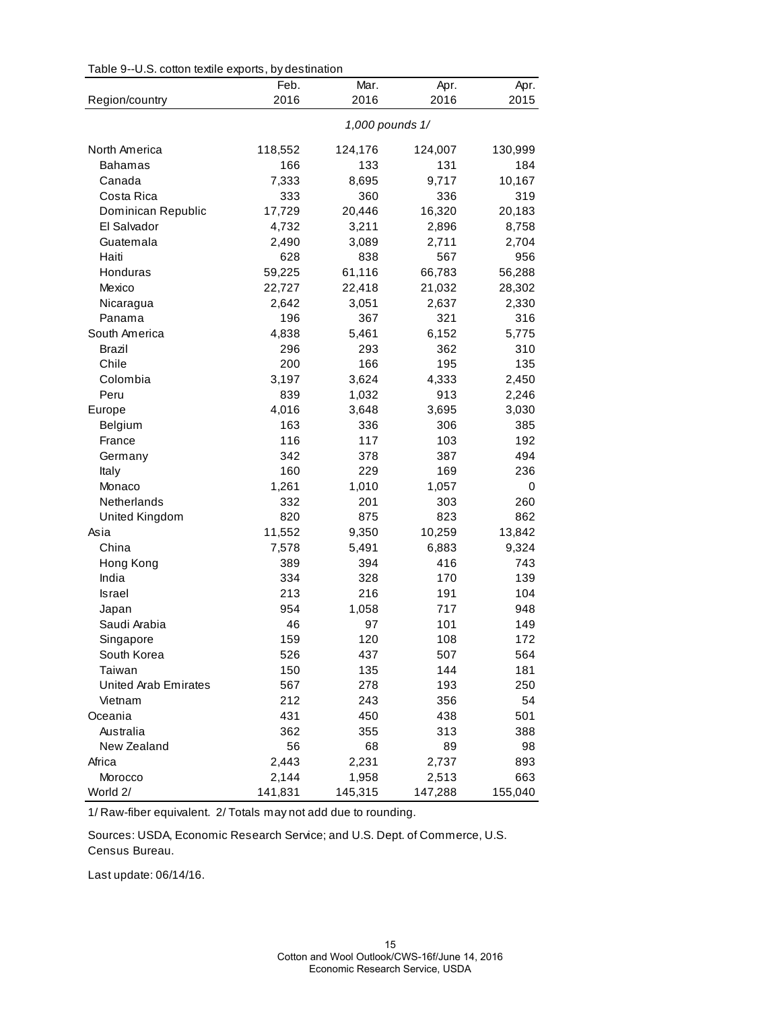|  | Table 9--U.S. cotton textile exports, by destination |  |  |
|--|------------------------------------------------------|--|--|
|--|------------------------------------------------------|--|--|

|                      | Feb.            | Mar.    | Apr.    | Apr.    |
|----------------------|-----------------|---------|---------|---------|
| Region/country       | 2016            | 2016    | 2016    | 2015    |
|                      | 1,000 pounds 1/ |         |         |         |
| North America        | 118,552         | 124,176 | 124,007 | 130,999 |
| <b>Bahamas</b>       | 166             | 133     | 131     | 184     |
| Canada               | 7,333           | 8,695   | 9,717   | 10,167  |
| Costa Rica           | 333             | 360     | 336     | 319     |
| Dominican Republic   | 17,729          | 20,446  | 16,320  | 20,183  |
| El Salvador          | 4,732           | 3,211   | 2,896   | 8,758   |
| Guatemala            | 2,490           | 3,089   | 2,711   | 2,704   |
| Haiti                | 628             | 838     | 567     | 956     |
| Honduras             | 59,225          | 61,116  | 66,783  | 56,288  |
| Mexico               | 22,727          | 22,418  | 21,032  | 28,302  |
| Nicaragua            | 2,642           | 3,051   | 2,637   | 2,330   |
| Panama               | 196             | 367     | 321     | 316     |
| South America        | 4,838           | 5,461   | 6,152   | 5,775   |
| Brazil               | 296             | 293     | 362     | 310     |
| Chile                | 200             | 166     | 195     | 135     |
| Colombia             | 3,197           | 3,624   | 4,333   | 2,450   |
| Peru                 | 839             | 1,032   | 913     | 2,246   |
| Europe               | 4,016           | 3,648   | 3,695   | 3,030   |
| Belgium              | 163             | 336     | 306     | 385     |
| France               | 116             | 117     | 103     | 192     |
| Germany              | 342             | 378     | 387     | 494     |
| Italy                | 160             | 229     | 169     | 236     |
| Monaco               | 1,261           | 1,010   | 1,057   | 0       |
| Netherlands          | 332             | 201     | 303     | 260     |
| United Kingdom       | 820             | 875     | 823     | 862     |
| Asia                 | 11,552          | 9,350   | 10,259  | 13,842  |
| China                | 7,578           | 5,491   | 6,883   | 9,324   |
| Hong Kong            | 389             | 394     | 416     | 743     |
| India                | 334             | 328     | 170     | 139     |
| <b>Israel</b>        | 213             | 216     | 191     | 104     |
| Japan                | 954             | 1,058   | 717     | 948     |
| Saudi Arabia         | 46              | 97      | 101     | 149     |
| Singapore            | 159             | 120     | 108     | 172     |
| South Korea          | 526             | 437     | 507     | 564     |
| Taiwan               | 150             | 135     | 144     | 181     |
| United Arab Emirates | 567             | 278     | 193     | 250     |
| Vietnam              | 212             | 243     | 356     | 54      |
| Oceania              | 431             | 450     | 438     | 501     |
| Australia            | 362             | 355     | 313     | 388     |
| New Zealand          | 56              | 68      | 89      | 98      |
| Africa               | 2,443           | 2,231   | 2,737   | 893     |
| Morocco              | 2,144           | 1,958   | 2,513   | 663     |
| World 2/             | 141,831         | 145,315 | 147,288 | 155,040 |

1/ Raw-fiber equivalent. 2/ Totals may not add due to rounding.

Sources: USDA, Economic Research Service; and U.S. Dept. of Commerce, U.S. Census Bureau.